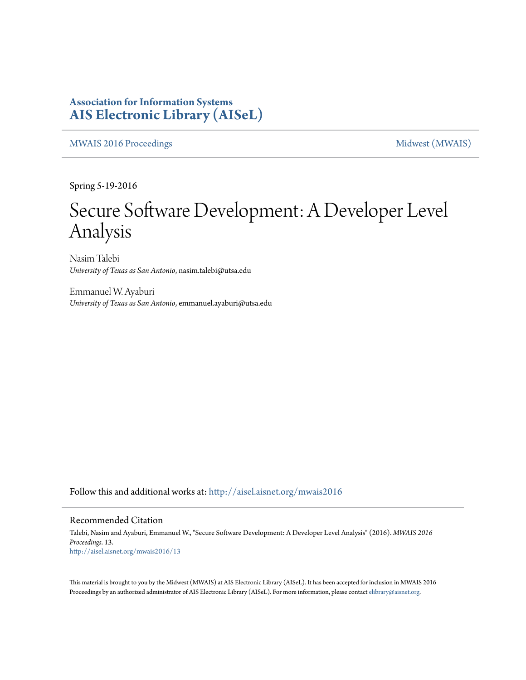### **Association for Information Systems [AIS Electronic Library \(AISeL\)](http://aisel.aisnet.org?utm_source=aisel.aisnet.org%2Fmwais2016%2F13&utm_medium=PDF&utm_campaign=PDFCoverPages)**

[MWAIS 2016 Proceedings](http://aisel.aisnet.org/mwais2016?utm_source=aisel.aisnet.org%2Fmwais2016%2F13&utm_medium=PDF&utm_campaign=PDFCoverPages) **Midwest** (MWAIS)

Spring 5-19-2016

# Secure Software Development: A Developer Level Analysis

Nasim Talebi *University of Texas as San Antonio*, nasim.talebi@utsa.edu

Emmanuel W. Ayaburi *University of Texas as San Antonio*, emmanuel.ayaburi@utsa.edu

Follow this and additional works at: [http://aisel.aisnet.org/mwais2016](http://aisel.aisnet.org/mwais2016?utm_source=aisel.aisnet.org%2Fmwais2016%2F13&utm_medium=PDF&utm_campaign=PDFCoverPages)

#### Recommended Citation

Talebi, Nasim and Ayaburi, Emmanuel W., "Secure Software Development: A Developer Level Analysis" (2016). *MWAIS 2016 Proceedings*. 13. [http://aisel.aisnet.org/mwais2016/13](http://aisel.aisnet.org/mwais2016/13?utm_source=aisel.aisnet.org%2Fmwais2016%2F13&utm_medium=PDF&utm_campaign=PDFCoverPages)

This material is brought to you by the Midwest (MWAIS) at AIS Electronic Library (AISeL). It has been accepted for inclusion in MWAIS 2016 Proceedings by an authorized administrator of AIS Electronic Library (AISeL). For more information, please contact [elibrary@aisnet.org](mailto:elibrary@aisnet.org%3E).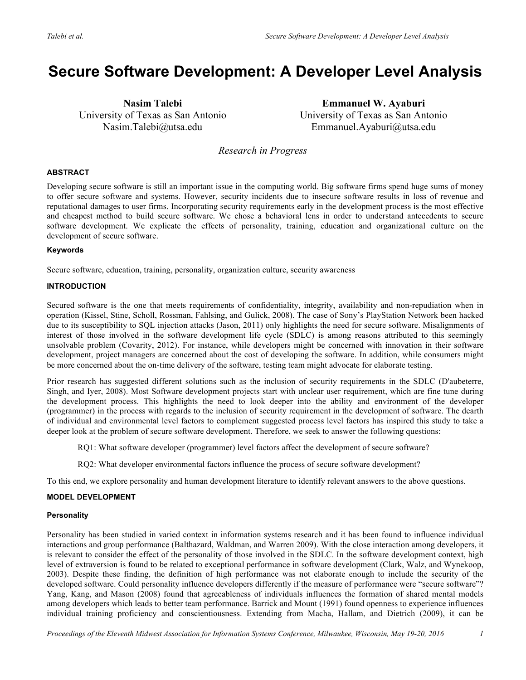## **Secure Software Development: A Developer Level Analysis**

**Nasim Talebi** University of Texas as San Antonio Nasim.Talebi@utsa.edu

**Emmanuel W. Ayaburi** University of Texas as San Antonio Emmanuel.Ayaburi@utsa.edu

*Research in Progress*

#### **ABSTRACT**

Developing secure software is still an important issue in the computing world. Big software firms spend huge sums of money to offer secure software and systems. However, security incidents due to insecure software results in loss of revenue and reputational damages to user firms. Incorporating security requirements early in the development process is the most effective and cheapest method to build secure software. We chose a behavioral lens in order to understand antecedents to secure software development. We explicate the effects of personality, training, education and organizational culture on the development of secure software.

#### **Keywords**

Secure software, education, training, personality, organization culture, security awareness

#### **INTRODUCTION**

Secured software is the one that meets requirements of confidentiality, integrity, availability and non-repudiation when in operation (Kissel, Stine, Scholl, Rossman, Fahlsing, and Gulick, 2008). The case of Sony's PlayStation Network been hacked due to its susceptibility to SQL injection attacks (Jason, 2011) only highlights the need for secure software. Misalignments of interest of those involved in the software development life cycle (SDLC) is among reasons attributed to this seemingly unsolvable problem (Covarity, 2012). For instance, while developers might be concerned with innovation in their software development, project managers are concerned about the cost of developing the software. In addition, while consumers might be more concerned about the on-time delivery of the software, testing team might advocate for elaborate testing.

Prior research has suggested different solutions such as the inclusion of security requirements in the SDLC (D'aubeterre, Singh, and Iyer, 2008). Most Software development projects start with unclear user requirement, which are fine tune during the development process. This highlights the need to look deeper into the ability and environment of the developer (programmer) in the process with regards to the inclusion of security requirement in the development of software. The dearth of individual and environmental level factors to complement suggested process level factors has inspired this study to take a deeper look at the problem of secure software development. Therefore, we seek to answer the following questions:

RQ1: What software developer (programmer) level factors affect the development of secure software?

RQ2: What developer environmental factors influence the process of secure software development?

To this end, we explore personality and human development literature to identify relevant answers to the above questions.

#### **MODEL DEVELOPMENT**

#### **Personality**

Personality has been studied in varied context in information systems research and it has been found to influence individual interactions and group performance (Balthazard, Waldman, and Warren 2009). With the close interaction among developers, it is relevant to consider the effect of the personality of those involved in the SDLC. In the software development context, high level of extraversion is found to be related to exceptional performance in software development (Clark, Walz, and Wynekoop, 2003). Despite these finding, the definition of high performance was not elaborate enough to include the security of the developed software. Could personality influence developers differently if the measure of performance were "secure software"? Yang, Kang, and Mason (2008) found that agreeableness of individuals influences the formation of shared mental models among developers which leads to better team performance. Barrick and Mount (1991) found openness to experience influences individual training proficiency and conscientiousness. Extending from Macha, Hallam, and Dietrich (2009), it can be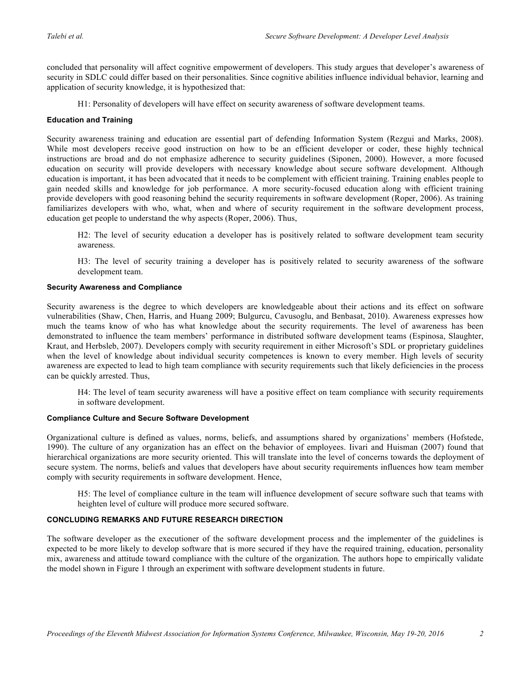concluded that personality will affect cognitive empowerment of developers. This study argues that developer's awareness of security in SDLC could differ based on their personalities. Since cognitive abilities influence individual behavior, learning and application of security knowledge, it is hypothesized that:

H1: Personality of developers will have effect on security awareness of software development teams.

#### **Education and Training**

Security awareness training and education are essential part of defending Information System (Rezgui and Marks, 2008). While most developers receive good instruction on how to be an efficient developer or coder, these highly technical instructions are broad and do not emphasize adherence to security guidelines (Siponen, 2000). However, a more focused education on security will provide developers with necessary knowledge about secure software development. Although education is important, it has been advocated that it needs to be complement with efficient training. Training enables people to gain needed skills and knowledge for job performance. A more security-focused education along with efficient training provide developers with good reasoning behind the security requirements in software development (Roper, 2006). As training familiarizes developers with who, what, when and where of security requirement in the software development process, education get people to understand the why aspects (Roper, 2006). Thus,

H2: The level of security education a developer has is positively related to software development team security awareness.

H3: The level of security training a developer has is positively related to security awareness of the software development team.

#### **Security Awareness and Compliance**

Security awareness is the degree to which developers are knowledgeable about their actions and its effect on software vulnerabilities (Shaw, Chen, Harris, and Huang 2009; Bulgurcu, Cavusoglu, and Benbasat, 2010). Awareness expresses how much the teams know of who has what knowledge about the security requirements. The level of awareness has been demonstrated to influence the team members' performance in distributed software development teams (Espinosa, Slaughter, Kraut, and Herbsleb, 2007). Developers comply with security requirement in either Microsoft's SDL or proprietary guidelines when the level of knowledge about individual security competences is known to every member. High levels of security awareness are expected to lead to high team compliance with security requirements such that likely deficiencies in the process can be quickly arrested. Thus,

H4: The level of team security awareness will have a positive effect on team compliance with security requirements in software development.

#### **Compliance Culture and Secure Software Development**

Organizational culture is defined as values, norms, beliefs, and assumptions shared by organizations' members (Hofstede, 1990). The culture of any organization has an effect on the behavior of employees. Iivari and Huisman (2007) found that hierarchical organizations are more security oriented. This will translate into the level of concerns towards the deployment of secure system. The norms, beliefs and values that developers have about security requirements influences how team member comply with security requirements in software development. Hence,

H5: The level of compliance culture in the team will influence development of secure software such that teams with heighten level of culture will produce more secured software.

#### **CONCLUDING REMARKS AND FUTURE RESEARCH DIRECTION**

The software developer as the executioner of the software development process and the implementer of the guidelines is expected to be more likely to develop software that is more secured if they have the required training, education, personality mix, awareness and attitude toward compliance with the culture of the organization. The authors hope to empirically validate the model shown in Figure 1 through an experiment with software development students in future.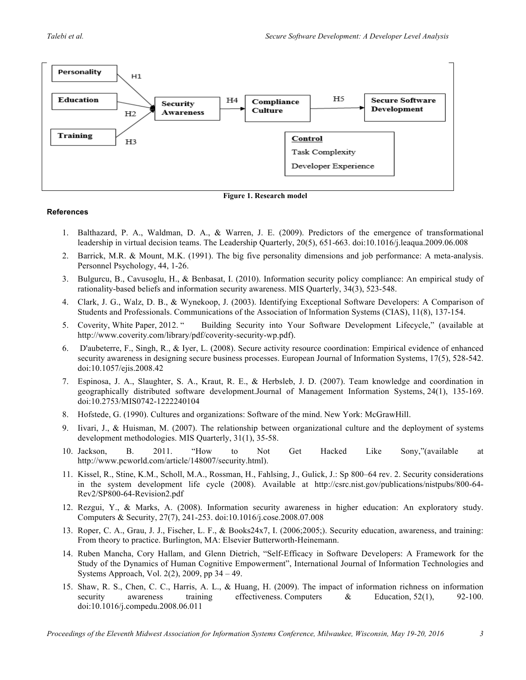



#### **References**

- 1. Balthazard, P. A., Waldman, D. A., & Warren, J. E. (2009). Predictors of the emergence of transformational leadership in virtual decision teams. The Leadership Quarterly, 20(5), 651-663. doi:10.1016/j.leaqua.2009.06.008
- 2. Barrick, M.R. & Mount, M.K. (1991). The big five personality dimensions and job performance: A meta-analysis. Personnel Psychology, 44, 1-26.
- 3. Bulgurcu, B., Cavusoglu, H., & Benbasat, I. (2010). Information security policy compliance: An empirical study of rationality-based beliefs and information security awareness. MIS Quarterly, 34(3), 523-548.
- 4. Clark, J. G., Walz, D. B., & Wynekoop, J. (2003). Identifying Exceptional Software Developers: A Comparison of Students and Professionals. Communications of the Association of lnformation Systems (CIAS), 11(8), 137-154.
- 5. Coverity, White Paper, 2012. " Building Security into Your Software Development Lifecycle," (available at http://www.coverity.com/library/pdf/coverity-security-wp.pdf).
- 6. D'aubeterre, F., Singh, R., & Iyer, L. (2008). Secure activity resource coordination: Empirical evidence of enhanced security awareness in designing secure business processes. European Journal of Information Systems, 17(5), 528-542. doi:10.1057/ejis.2008.42
- 7. Espinosa, J. A., Slaughter, S. A., Kraut, R. E., & Herbsleb, J. D. (2007). Team knowledge and coordination in geographically distributed software development.Journal of Management Information Systems, 24(1), 135-169. doi:10.2753/MIS0742-1222240104
- 8. Hofstede, G. (1990). Cultures and organizations: Software of the mind. New York: McGrawHill.
- 9. Iivari, J., & Huisman, M. (2007). The relationship between organizational culture and the deployment of systems development methodologies. MIS Quarterly, 31(1), 35-58.
- 10. Jackson, B. 2011. "How to Not Get Hacked Like Sony,"(available at http://www.pcworld.com/article/148007/security.html).
- 11. Kissel, R., Stine, K.M., Scholl, M.A., Rossman, H., Fahlsing, J., Gulick, J.: Sp 800–64 rev. 2. Security considerations in the system development life cycle (2008). Available at http://csrc.nist.gov/publications/nistpubs/800-64- Rev2/SP800-64-Revision2.pdf
- 12. Rezgui, Y., & Marks, A. (2008). Information security awareness in higher education: An exploratory study. Computers & Security, 27(7), 241-253. doi:10.1016/j.cose.2008.07.008
- 13. Roper, C. A., Grau, J. J., Fischer, L. F., & Books24x7, I. (2006;2005;). Security education, awareness, and training: From theory to practice. Burlington, MA: Elsevier Butterworth-Heinemann.
- 14. Ruben Mancha, Cory Hallam, and Glenn Dietrich, "Self-Efficacy in Software Developers: A Framework for the Study of the Dynamics of Human Cognitive Empowerment", International Journal of Information Technologies and Systems Approach, Vol. 2(2), 2009, pp 34 – 49.
- 15. Shaw, R. S., Chen, C. C., Harris, A. L., & Huang, H. (2009). The impact of information richness on information security awareness training effectiveness. Computers & Education, 52(1), 92-100. doi:10.1016/j.compedu.2008.06.011